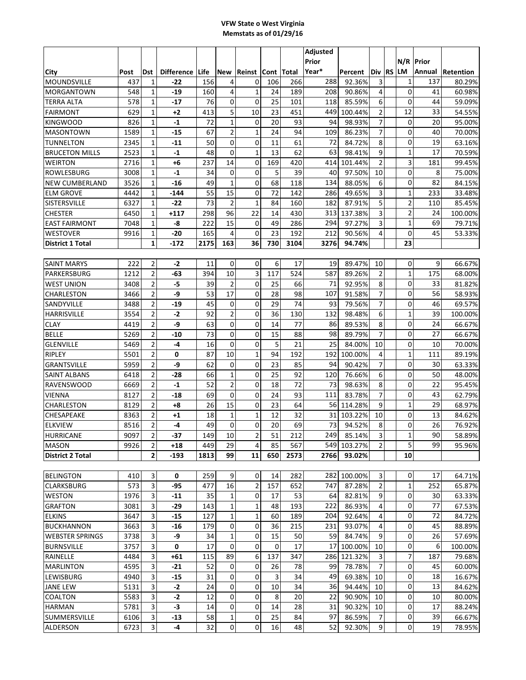## **VFW State o West Virginia Memstats as of 01/29/16**

| N/R Prior<br>Year*<br>LM<br><b>Difference</b><br>Life<br><b>New</b><br>Reinst Cont Total<br><b>RS</b><br>Annual<br>Post<br><b>Dst</b><br>Percent<br>lDiv l<br>Retention<br>MOUNDSVILLE<br>437<br>4<br>106<br>92.36%<br>3<br>$\mathbf{1}$<br>1<br>$-22$<br>156<br>0<br>266<br>288<br>137<br>80.29%<br>$\mathbf 0$<br>4<br>41<br>548<br>$-19$<br>$\mathbf{1}$<br>24<br>189<br>208<br>90.86%<br>4<br>60.98%<br>1<br>160<br>0<br>578<br>76<br>0<br>25<br>101<br>85.59%<br>6<br>$\mathbf 0$<br>59.09%<br>1<br>$-17$<br>118<br>44<br>5<br>$\overline{2}$<br>12<br>629<br>$\mathbf{1}$<br>10<br>23<br>451<br>449<br>100.44%<br>33<br>54.55%<br>$+2$<br>413<br>$\mathbf{1}$<br>7<br>826<br>0<br>20<br>93<br>94<br>98.93%<br>0<br>20<br>95.00%<br>1<br>$-1$<br>72<br>$\overline{2}$<br>1<br>7<br>1589<br>1<br>$-15$<br>67<br>24<br>94<br>109<br>86.23%<br>0<br>40<br>70.00%<br>$\overline{0}$<br>0<br>72<br>8<br>$\mathbf 0$<br>2345<br>50<br>11<br>61<br>84.72%<br>19<br>63.16%<br>1<br>$-11$<br>$\overline{0}$<br>$\mathbf 1$<br>13<br>9<br>1<br>62<br>63<br>17<br>2523<br>1<br>$-1$<br>48<br>98.41%<br>70.59%<br>$\overline{2}$<br>3<br>14<br>0<br>169<br>2716<br>1<br>+6<br>237<br>420<br>101.44%<br>414<br>181<br>99.45%<br>$\mathbf 0$<br>0<br>0<br>5<br>39<br>8<br>3008<br>$-1$<br>40<br>97.50%<br>10<br>1<br>34<br>75.00%<br>$\mathbf 0$<br>$\mathbf 0$<br>68<br>82<br>3526<br>49<br>$\mathbf 1$<br>134<br>6<br>$\mathbf{1}$<br>$-16$<br>118<br>88.05%<br>84.15%<br>72<br>$\mathbf{1}$<br>4442<br>55<br>15<br>0<br>142<br>286<br>3<br>233<br>-144<br>49.65%<br>33.48%<br>1<br>$\overline{\mathbf{c}}$<br>5<br>73<br>$\overline{2}$<br>$\mathbf{1}$<br>84<br>182<br>110<br>6327<br>1<br>-22<br>160<br>87.91%<br>85.45%<br>3<br>$\overline{\mathbf{c}}$<br>96<br>22<br>6450<br>298<br>14<br>430<br>1<br>$+117$<br>313<br>137.38%<br>24<br>100.00%<br>$\mathbf{1}$<br>15<br>3<br>7048<br>0<br>49<br>286<br>294<br>69<br>1<br>-8<br>222<br>97.27%<br>79.71%<br>$\mathbf 0$<br>45<br>$\mathbf{1}$<br>-20<br>165<br>4<br>$\mathbf 0$<br>23<br>192<br>212<br>4<br>9916<br>90.56%<br>53.33%<br>$\mathbf{1}$<br>$-172$<br>2175<br>163<br>36<br>730<br>3104<br>23<br>3276<br>94.74%<br>17<br>89.47%<br>$\mathbf 0$<br>222<br>2<br>$-2$<br>11<br>0<br>0<br>6<br>19<br>10<br>9<br>66.67%<br>$\overline{2}$<br>3<br>$\mathbf{1}$<br>10<br>$\overline{2}$<br>175<br>1212<br>-63<br>394<br>117<br>524<br>587<br>89.26%<br>68.00%<br>$\overline{2}$<br>$\overline{2}$<br>$\mathbf 0$<br>$\mathbf 0$<br>$-5$<br>39<br>25<br>8<br>33<br>3408<br>66<br>71<br>92.95%<br>81.82%<br>17<br>7<br>2<br>-9<br>0<br>$\mathbf 0$<br>3466<br>53<br>28<br>98<br>91.58%<br>56<br>107<br>58.93%<br>$\overline{7}$<br>$\mathbf 0$<br>2<br>0<br>0<br>29<br>74<br>3488<br>$-19$<br>45<br>93<br>79.56%<br>46<br>69.57%<br>$\overline{2}$<br>2<br>6<br>$\mathbf{1}$<br>3554<br>$-2$<br>92<br>0<br>36<br>130<br>132<br>98.48%<br>39<br>100.00%<br>2<br>0<br>8<br>4419<br>-9<br>63<br>0<br>14<br>77<br>89.53%<br>0<br>24<br>66.67%<br>86<br>$\overline{7}$<br>$\mathbf 0$<br>2<br>0<br>0<br>88<br>98<br>89.79%<br>27<br>5269<br>$-10$<br>73<br>15<br>66.67%<br>$\mathbf 0$<br>$\overline{2}$<br>0<br>0<br>5<br>21<br>25<br>84.00%<br>10<br>10<br>5469<br>-4<br>16<br>70.00%<br>10<br>$\mathbf{1}$<br>2<br>87<br>94<br>192<br>100.00%<br>4<br>$\mathbf{1}$<br>89.19%<br>5501<br>0<br>192<br>111<br>2<br>7<br>$\mathbf 0$<br>5959<br>-9<br>62<br>0<br>0<br>23<br>85<br>94<br>30<br>63.33%<br>90.42%<br>$\mathbf{1}$<br>0<br>2<br>25<br>92<br>76.66%<br>6<br>$\mathbf 0$<br>48.00%<br>6418<br>-28<br>66<br>120<br>50<br>2<br>52<br>0<br>98.63%<br>8<br>0<br>22<br>95.45%<br>6669<br>2<br>18<br>72<br>73<br>$-1$<br>0<br>$\mathbf 0$<br>24<br>7<br>0<br>43<br>62.79%<br>8127<br>2<br>$-18$<br>69<br>93<br>111<br>83.78%<br>15<br>0<br>2<br>23<br>64<br>9<br>$\mathbf{1}$<br>8129<br>+8<br>26<br>56I<br>114.28%<br>29<br>68.97%<br>$\mathbf 1$<br>$\mathbf 1$<br>12<br>32<br>31<br>0<br>13<br>8363<br>2<br>+1<br>18<br>103.22%<br>10<br>84.62%<br>0<br>$\mathbf 0$<br>0<br>73<br>26<br>2<br>$-4$<br>49<br>20<br>69<br>8<br>8516<br>94.52%<br>76.92%<br>9097<br>-37<br>149<br>10<br>2<br>51<br>212<br>2491<br>85.14%<br>3<br>1<br>90<br>58.89% <br>$\overline{z}$<br>5<br>$\overline{2}$<br>2<br>29<br>4<br>85<br>567<br>99<br>9926<br>449<br>549 103.27%<br>95.96%<br>+18<br>2<br>99<br>11<br>10<br>-193<br>1813<br>650<br>2573<br>2766<br>93.02%<br>$\mathbf 0$<br>3<br>259<br>9<br>3<br>17<br>64.71%<br>410<br>0<br>0<br>14<br>282<br>282<br>100.00%<br>3<br>16<br>$\mathbf 2$<br>$\overline{2}$<br>$\mathbf 1$<br>573<br>$-95$<br>157<br>652<br>87.28%<br>252<br>477<br>747<br>65.87%<br>3<br>0<br>1976<br>0<br>9<br>30<br>$-11$<br>35<br>1<br>17<br>53<br>64<br>82.81%<br>63.33%<br>3<br>$-29$<br>1<br>1<br>193<br>222<br>86.93%<br>0<br>77<br>3081<br>143<br>48<br>4<br>67.53%<br>3<br>1<br>$\mathbf 1$<br>3647<br>$-15$<br>127<br>60<br>189<br>92.64%<br>0<br>72<br>204<br>4<br>84.72%<br>3<br>0<br>$\mathbf 0$<br>$-16$<br>0<br>36<br>215<br>231<br>93.07%<br>45<br>3663<br>179<br>4<br>88.89%<br>3<br>-9<br>$\mathbf{1}$<br>0<br>15<br>9<br>0<br>26<br>3738<br>34<br>50<br>59<br>84.74%<br>57.69%<br>0<br>3<br>0<br>0<br>$\mathbf 0$<br>3757<br>17<br>0<br>17<br>100.00%<br>10<br>6<br>17<br>100.00%<br>$\overline{7}$<br>89<br>3<br>6<br>137<br>347<br>3<br>187<br>$+61$<br>115<br>286 <br>121.32%<br>4484<br>79.68%<br>$\overline{7}$<br>3<br>4595<br>52<br>0<br>0<br>78<br>$\mathbf 0$<br>$-21$<br>26<br>78.78%<br>45<br>60.00%<br>99<br>$\mathbf 0$<br>3<br>$-15$<br>0<br>0<br>3<br>18<br>4940<br>31<br>34<br>49<br>69.38%<br>10<br>16.67%<br>$\mathbf 0$<br>3<br>0<br>10<br>94.44%<br>13<br>5131<br>$-2$<br>24<br>0<br>34<br>36<br>10<br>84.62%<br>0<br>$\mathbf 0$<br>3<br>$-2$<br>8<br>0<br>5583<br>12<br>20<br>90.90%<br>10<br>10<br>80.00%<br>22<br>0<br>0<br>3<br>0<br>17<br>5781<br>-3<br>14<br>14<br>28<br>31<br>90.32%<br>10<br>88.24%<br>$\mathbf 1$<br>0<br>0<br>25<br>7<br>39<br>6106<br>3<br>$-13$<br>58<br>84<br>97<br>86.59%<br>66.67%<br>0<br>0<br>3<br>32<br>16<br>92.30%<br>9<br>0<br>78.95%<br>6723<br>-4<br>48<br>52<br>19 |                         |  |  |  |  | Adjusted |  |  |  |  |
|---------------------------------------------------------------------------------------------------------------------------------------------------------------------------------------------------------------------------------------------------------------------------------------------------------------------------------------------------------------------------------------------------------------------------------------------------------------------------------------------------------------------------------------------------------------------------------------------------------------------------------------------------------------------------------------------------------------------------------------------------------------------------------------------------------------------------------------------------------------------------------------------------------------------------------------------------------------------------------------------------------------------------------------------------------------------------------------------------------------------------------------------------------------------------------------------------------------------------------------------------------------------------------------------------------------------------------------------------------------------------------------------------------------------------------------------------------------------------------------------------------------------------------------------------------------------------------------------------------------------------------------------------------------------------------------------------------------------------------------------------------------------------------------------------------------------------------------------------------------------------------------------------------------------------------------------------------------------------------------------------------------------------------------------------------------------------------------------------------------------------------------------------------------------------------------------------------------------------------------------------------------------------------------------------------------------------------------------------------------------------------------------------------------------------------------------------------------------------------------------------------------------------------------------------------------------------------------------------------------------------------------------------------------------------------------------------------------------------------------------------------------------------------------------------------------------------------------------------------------------------------------------------------------------------------------------------------------------------------------------------------------------------------------------------------------------------------------------------------------------------------------------------------------------------------------------------------------------------------------------------------------------------------------------------------------------------------------------------------------------------------------------------------------------------------------------------------------------------------------------------------------------------------------------------------------------------------------------------------------------------------------------------------------------------------------------------------------------------------------------------------------------------------------------------------------------------------------------------------------------------------------------------------------------------------------------------------------------------------------------------------------------------------------------------------------------------------------------------------------------------------------------------------------------------------------------------------------------------------------------------------------------------------------------------------------------------------------------------------------------------------------------------------------------------------------------------------------------------------------------------------------------------------------------------------------------------------------------------------------------------------------------------------------------------------------------------------------------------------------------------------------------------------------------------------------------------------------------------------------------------------------------------------------------------------------------------------------------------------------------------------------------------------------------------------------------------------------------------------------------------------------------------------------------------------------------------------------------------------------------------------------------------------------------------------------------------------------------------------------------------------------------------------------------------------------------------------------------------------------------------------------------------------------------------------------------------------------------------------------------------------------------------------------------------------------------------------------------------------------------------------------------------------------------------------------------------------------------------------------------------------------------------------------------------------------------------------------------------------------------------------------------------------------------------------------------------------------------------------------|-------------------------|--|--|--|--|----------|--|--|--|--|
|                                                                                                                                                                                                                                                                                                                                                                                                                                                                                                                                                                                                                                                                                                                                                                                                                                                                                                                                                                                                                                                                                                                                                                                                                                                                                                                                                                                                                                                                                                                                                                                                                                                                                                                                                                                                                                                                                                                                                                                                                                                                                                                                                                                                                                                                                                                                                                                                                                                                                                                                                                                                                                                                                                                                                                                                                                                                                                                                                                                                                                                                                                                                                                                                                                                                                                                                                                                                                                                                                                                                                                                                                                                                                                                                                                                                                                                                                                                                                                                                                                                                                                                                                                                                                                                                                                                                                                                                                                                                                                                                                                                                                                                                                                                                                                                                                                                                                                                                                                                                                                                                                                                                                                                                                                                                                                                                                                                                                                                                                                                                                                                                                                                                                                                                                                                                                                                                                                                                                                                                                                                                                                               |                         |  |  |  |  | Prior    |  |  |  |  |
|                                                                                                                                                                                                                                                                                                                                                                                                                                                                                                                                                                                                                                                                                                                                                                                                                                                                                                                                                                                                                                                                                                                                                                                                                                                                                                                                                                                                                                                                                                                                                                                                                                                                                                                                                                                                                                                                                                                                                                                                                                                                                                                                                                                                                                                                                                                                                                                                                                                                                                                                                                                                                                                                                                                                                                                                                                                                                                                                                                                                                                                                                                                                                                                                                                                                                                                                                                                                                                                                                                                                                                                                                                                                                                                                                                                                                                                                                                                                                                                                                                                                                                                                                                                                                                                                                                                                                                                                                                                                                                                                                                                                                                                                                                                                                                                                                                                                                                                                                                                                                                                                                                                                                                                                                                                                                                                                                                                                                                                                                                                                                                                                                                                                                                                                                                                                                                                                                                                                                                                                                                                                                                               | City                    |  |  |  |  |          |  |  |  |  |
|                                                                                                                                                                                                                                                                                                                                                                                                                                                                                                                                                                                                                                                                                                                                                                                                                                                                                                                                                                                                                                                                                                                                                                                                                                                                                                                                                                                                                                                                                                                                                                                                                                                                                                                                                                                                                                                                                                                                                                                                                                                                                                                                                                                                                                                                                                                                                                                                                                                                                                                                                                                                                                                                                                                                                                                                                                                                                                                                                                                                                                                                                                                                                                                                                                                                                                                                                                                                                                                                                                                                                                                                                                                                                                                                                                                                                                                                                                                                                                                                                                                                                                                                                                                                                                                                                                                                                                                                                                                                                                                                                                                                                                                                                                                                                                                                                                                                                                                                                                                                                                                                                                                                                                                                                                                                                                                                                                                                                                                                                                                                                                                                                                                                                                                                                                                                                                                                                                                                                                                                                                                                                                               |                         |  |  |  |  |          |  |  |  |  |
|                                                                                                                                                                                                                                                                                                                                                                                                                                                                                                                                                                                                                                                                                                                                                                                                                                                                                                                                                                                                                                                                                                                                                                                                                                                                                                                                                                                                                                                                                                                                                                                                                                                                                                                                                                                                                                                                                                                                                                                                                                                                                                                                                                                                                                                                                                                                                                                                                                                                                                                                                                                                                                                                                                                                                                                                                                                                                                                                                                                                                                                                                                                                                                                                                                                                                                                                                                                                                                                                                                                                                                                                                                                                                                                                                                                                                                                                                                                                                                                                                                                                                                                                                                                                                                                                                                                                                                                                                                                                                                                                                                                                                                                                                                                                                                                                                                                                                                                                                                                                                                                                                                                                                                                                                                                                                                                                                                                                                                                                                                                                                                                                                                                                                                                                                                                                                                                                                                                                                                                                                                                                                                               | <b>MORGANTOWN</b>       |  |  |  |  |          |  |  |  |  |
|                                                                                                                                                                                                                                                                                                                                                                                                                                                                                                                                                                                                                                                                                                                                                                                                                                                                                                                                                                                                                                                                                                                                                                                                                                                                                                                                                                                                                                                                                                                                                                                                                                                                                                                                                                                                                                                                                                                                                                                                                                                                                                                                                                                                                                                                                                                                                                                                                                                                                                                                                                                                                                                                                                                                                                                                                                                                                                                                                                                                                                                                                                                                                                                                                                                                                                                                                                                                                                                                                                                                                                                                                                                                                                                                                                                                                                                                                                                                                                                                                                                                                                                                                                                                                                                                                                                                                                                                                                                                                                                                                                                                                                                                                                                                                                                                                                                                                                                                                                                                                                                                                                                                                                                                                                                                                                                                                                                                                                                                                                                                                                                                                                                                                                                                                                                                                                                                                                                                                                                                                                                                                                               | <b>TERRA ALTA</b>       |  |  |  |  |          |  |  |  |  |
|                                                                                                                                                                                                                                                                                                                                                                                                                                                                                                                                                                                                                                                                                                                                                                                                                                                                                                                                                                                                                                                                                                                                                                                                                                                                                                                                                                                                                                                                                                                                                                                                                                                                                                                                                                                                                                                                                                                                                                                                                                                                                                                                                                                                                                                                                                                                                                                                                                                                                                                                                                                                                                                                                                                                                                                                                                                                                                                                                                                                                                                                                                                                                                                                                                                                                                                                                                                                                                                                                                                                                                                                                                                                                                                                                                                                                                                                                                                                                                                                                                                                                                                                                                                                                                                                                                                                                                                                                                                                                                                                                                                                                                                                                                                                                                                                                                                                                                                                                                                                                                                                                                                                                                                                                                                                                                                                                                                                                                                                                                                                                                                                                                                                                                                                                                                                                                                                                                                                                                                                                                                                                                               | <b>FAIRMONT</b>         |  |  |  |  |          |  |  |  |  |
|                                                                                                                                                                                                                                                                                                                                                                                                                                                                                                                                                                                                                                                                                                                                                                                                                                                                                                                                                                                                                                                                                                                                                                                                                                                                                                                                                                                                                                                                                                                                                                                                                                                                                                                                                                                                                                                                                                                                                                                                                                                                                                                                                                                                                                                                                                                                                                                                                                                                                                                                                                                                                                                                                                                                                                                                                                                                                                                                                                                                                                                                                                                                                                                                                                                                                                                                                                                                                                                                                                                                                                                                                                                                                                                                                                                                                                                                                                                                                                                                                                                                                                                                                                                                                                                                                                                                                                                                                                                                                                                                                                                                                                                                                                                                                                                                                                                                                                                                                                                                                                                                                                                                                                                                                                                                                                                                                                                                                                                                                                                                                                                                                                                                                                                                                                                                                                                                                                                                                                                                                                                                                                               | <b>KINGWOOD</b>         |  |  |  |  |          |  |  |  |  |
|                                                                                                                                                                                                                                                                                                                                                                                                                                                                                                                                                                                                                                                                                                                                                                                                                                                                                                                                                                                                                                                                                                                                                                                                                                                                                                                                                                                                                                                                                                                                                                                                                                                                                                                                                                                                                                                                                                                                                                                                                                                                                                                                                                                                                                                                                                                                                                                                                                                                                                                                                                                                                                                                                                                                                                                                                                                                                                                                                                                                                                                                                                                                                                                                                                                                                                                                                                                                                                                                                                                                                                                                                                                                                                                                                                                                                                                                                                                                                                                                                                                                                                                                                                                                                                                                                                                                                                                                                                                                                                                                                                                                                                                                                                                                                                                                                                                                                                                                                                                                                                                                                                                                                                                                                                                                                                                                                                                                                                                                                                                                                                                                                                                                                                                                                                                                                                                                                                                                                                                                                                                                                                               | <b>MASONTOWN</b>        |  |  |  |  |          |  |  |  |  |
|                                                                                                                                                                                                                                                                                                                                                                                                                                                                                                                                                                                                                                                                                                                                                                                                                                                                                                                                                                                                                                                                                                                                                                                                                                                                                                                                                                                                                                                                                                                                                                                                                                                                                                                                                                                                                                                                                                                                                                                                                                                                                                                                                                                                                                                                                                                                                                                                                                                                                                                                                                                                                                                                                                                                                                                                                                                                                                                                                                                                                                                                                                                                                                                                                                                                                                                                                                                                                                                                                                                                                                                                                                                                                                                                                                                                                                                                                                                                                                                                                                                                                                                                                                                                                                                                                                                                                                                                                                                                                                                                                                                                                                                                                                                                                                                                                                                                                                                                                                                                                                                                                                                                                                                                                                                                                                                                                                                                                                                                                                                                                                                                                                                                                                                                                                                                                                                                                                                                                                                                                                                                                                               | <b>TUNNELTON</b>        |  |  |  |  |          |  |  |  |  |
|                                                                                                                                                                                                                                                                                                                                                                                                                                                                                                                                                                                                                                                                                                                                                                                                                                                                                                                                                                                                                                                                                                                                                                                                                                                                                                                                                                                                                                                                                                                                                                                                                                                                                                                                                                                                                                                                                                                                                                                                                                                                                                                                                                                                                                                                                                                                                                                                                                                                                                                                                                                                                                                                                                                                                                                                                                                                                                                                                                                                                                                                                                                                                                                                                                                                                                                                                                                                                                                                                                                                                                                                                                                                                                                                                                                                                                                                                                                                                                                                                                                                                                                                                                                                                                                                                                                                                                                                                                                                                                                                                                                                                                                                                                                                                                                                                                                                                                                                                                                                                                                                                                                                                                                                                                                                                                                                                                                                                                                                                                                                                                                                                                                                                                                                                                                                                                                                                                                                                                                                                                                                                                               | <b>BRUCETON MILLS</b>   |  |  |  |  |          |  |  |  |  |
|                                                                                                                                                                                                                                                                                                                                                                                                                                                                                                                                                                                                                                                                                                                                                                                                                                                                                                                                                                                                                                                                                                                                                                                                                                                                                                                                                                                                                                                                                                                                                                                                                                                                                                                                                                                                                                                                                                                                                                                                                                                                                                                                                                                                                                                                                                                                                                                                                                                                                                                                                                                                                                                                                                                                                                                                                                                                                                                                                                                                                                                                                                                                                                                                                                                                                                                                                                                                                                                                                                                                                                                                                                                                                                                                                                                                                                                                                                                                                                                                                                                                                                                                                                                                                                                                                                                                                                                                                                                                                                                                                                                                                                                                                                                                                                                                                                                                                                                                                                                                                                                                                                                                                                                                                                                                                                                                                                                                                                                                                                                                                                                                                                                                                                                                                                                                                                                                                                                                                                                                                                                                                                               | <b>WEIRTON</b>          |  |  |  |  |          |  |  |  |  |
|                                                                                                                                                                                                                                                                                                                                                                                                                                                                                                                                                                                                                                                                                                                                                                                                                                                                                                                                                                                                                                                                                                                                                                                                                                                                                                                                                                                                                                                                                                                                                                                                                                                                                                                                                                                                                                                                                                                                                                                                                                                                                                                                                                                                                                                                                                                                                                                                                                                                                                                                                                                                                                                                                                                                                                                                                                                                                                                                                                                                                                                                                                                                                                                                                                                                                                                                                                                                                                                                                                                                                                                                                                                                                                                                                                                                                                                                                                                                                                                                                                                                                                                                                                                                                                                                                                                                                                                                                                                                                                                                                                                                                                                                                                                                                                                                                                                                                                                                                                                                                                                                                                                                                                                                                                                                                                                                                                                                                                                                                                                                                                                                                                                                                                                                                                                                                                                                                                                                                                                                                                                                                                               | ROWLESBURG              |  |  |  |  |          |  |  |  |  |
|                                                                                                                                                                                                                                                                                                                                                                                                                                                                                                                                                                                                                                                                                                                                                                                                                                                                                                                                                                                                                                                                                                                                                                                                                                                                                                                                                                                                                                                                                                                                                                                                                                                                                                                                                                                                                                                                                                                                                                                                                                                                                                                                                                                                                                                                                                                                                                                                                                                                                                                                                                                                                                                                                                                                                                                                                                                                                                                                                                                                                                                                                                                                                                                                                                                                                                                                                                                                                                                                                                                                                                                                                                                                                                                                                                                                                                                                                                                                                                                                                                                                                                                                                                                                                                                                                                                                                                                                                                                                                                                                                                                                                                                                                                                                                                                                                                                                                                                                                                                                                                                                                                                                                                                                                                                                                                                                                                                                                                                                                                                                                                                                                                                                                                                                                                                                                                                                                                                                                                                                                                                                                                               | <b>NEW CUMBERLAND</b>   |  |  |  |  |          |  |  |  |  |
|                                                                                                                                                                                                                                                                                                                                                                                                                                                                                                                                                                                                                                                                                                                                                                                                                                                                                                                                                                                                                                                                                                                                                                                                                                                                                                                                                                                                                                                                                                                                                                                                                                                                                                                                                                                                                                                                                                                                                                                                                                                                                                                                                                                                                                                                                                                                                                                                                                                                                                                                                                                                                                                                                                                                                                                                                                                                                                                                                                                                                                                                                                                                                                                                                                                                                                                                                                                                                                                                                                                                                                                                                                                                                                                                                                                                                                                                                                                                                                                                                                                                                                                                                                                                                                                                                                                                                                                                                                                                                                                                                                                                                                                                                                                                                                                                                                                                                                                                                                                                                                                                                                                                                                                                                                                                                                                                                                                                                                                                                                                                                                                                                                                                                                                                                                                                                                                                                                                                                                                                                                                                                                               | <b>ELM GROVE</b>        |  |  |  |  |          |  |  |  |  |
|                                                                                                                                                                                                                                                                                                                                                                                                                                                                                                                                                                                                                                                                                                                                                                                                                                                                                                                                                                                                                                                                                                                                                                                                                                                                                                                                                                                                                                                                                                                                                                                                                                                                                                                                                                                                                                                                                                                                                                                                                                                                                                                                                                                                                                                                                                                                                                                                                                                                                                                                                                                                                                                                                                                                                                                                                                                                                                                                                                                                                                                                                                                                                                                                                                                                                                                                                                                                                                                                                                                                                                                                                                                                                                                                                                                                                                                                                                                                                                                                                                                                                                                                                                                                                                                                                                                                                                                                                                                                                                                                                                                                                                                                                                                                                                                                                                                                                                                                                                                                                                                                                                                                                                                                                                                                                                                                                                                                                                                                                                                                                                                                                                                                                                                                                                                                                                                                                                                                                                                                                                                                                                               | <b>SISTERSVILLE</b>     |  |  |  |  |          |  |  |  |  |
|                                                                                                                                                                                                                                                                                                                                                                                                                                                                                                                                                                                                                                                                                                                                                                                                                                                                                                                                                                                                                                                                                                                                                                                                                                                                                                                                                                                                                                                                                                                                                                                                                                                                                                                                                                                                                                                                                                                                                                                                                                                                                                                                                                                                                                                                                                                                                                                                                                                                                                                                                                                                                                                                                                                                                                                                                                                                                                                                                                                                                                                                                                                                                                                                                                                                                                                                                                                                                                                                                                                                                                                                                                                                                                                                                                                                                                                                                                                                                                                                                                                                                                                                                                                                                                                                                                                                                                                                                                                                                                                                                                                                                                                                                                                                                                                                                                                                                                                                                                                                                                                                                                                                                                                                                                                                                                                                                                                                                                                                                                                                                                                                                                                                                                                                                                                                                                                                                                                                                                                                                                                                                                               | <b>CHESTER</b>          |  |  |  |  |          |  |  |  |  |
|                                                                                                                                                                                                                                                                                                                                                                                                                                                                                                                                                                                                                                                                                                                                                                                                                                                                                                                                                                                                                                                                                                                                                                                                                                                                                                                                                                                                                                                                                                                                                                                                                                                                                                                                                                                                                                                                                                                                                                                                                                                                                                                                                                                                                                                                                                                                                                                                                                                                                                                                                                                                                                                                                                                                                                                                                                                                                                                                                                                                                                                                                                                                                                                                                                                                                                                                                                                                                                                                                                                                                                                                                                                                                                                                                                                                                                                                                                                                                                                                                                                                                                                                                                                                                                                                                                                                                                                                                                                                                                                                                                                                                                                                                                                                                                                                                                                                                                                                                                                                                                                                                                                                                                                                                                                                                                                                                                                                                                                                                                                                                                                                                                                                                                                                                                                                                                                                                                                                                                                                                                                                                                               | <b>EAST FAIRMONT</b>    |  |  |  |  |          |  |  |  |  |
|                                                                                                                                                                                                                                                                                                                                                                                                                                                                                                                                                                                                                                                                                                                                                                                                                                                                                                                                                                                                                                                                                                                                                                                                                                                                                                                                                                                                                                                                                                                                                                                                                                                                                                                                                                                                                                                                                                                                                                                                                                                                                                                                                                                                                                                                                                                                                                                                                                                                                                                                                                                                                                                                                                                                                                                                                                                                                                                                                                                                                                                                                                                                                                                                                                                                                                                                                                                                                                                                                                                                                                                                                                                                                                                                                                                                                                                                                                                                                                                                                                                                                                                                                                                                                                                                                                                                                                                                                                                                                                                                                                                                                                                                                                                                                                                                                                                                                                                                                                                                                                                                                                                                                                                                                                                                                                                                                                                                                                                                                                                                                                                                                                                                                                                                                                                                                                                                                                                                                                                                                                                                                                               | <b>WESTOVER</b>         |  |  |  |  |          |  |  |  |  |
|                                                                                                                                                                                                                                                                                                                                                                                                                                                                                                                                                                                                                                                                                                                                                                                                                                                                                                                                                                                                                                                                                                                                                                                                                                                                                                                                                                                                                                                                                                                                                                                                                                                                                                                                                                                                                                                                                                                                                                                                                                                                                                                                                                                                                                                                                                                                                                                                                                                                                                                                                                                                                                                                                                                                                                                                                                                                                                                                                                                                                                                                                                                                                                                                                                                                                                                                                                                                                                                                                                                                                                                                                                                                                                                                                                                                                                                                                                                                                                                                                                                                                                                                                                                                                                                                                                                                                                                                                                                                                                                                                                                                                                                                                                                                                                                                                                                                                                                                                                                                                                                                                                                                                                                                                                                                                                                                                                                                                                                                                                                                                                                                                                                                                                                                                                                                                                                                                                                                                                                                                                                                                                               | <b>District 1 Total</b> |  |  |  |  |          |  |  |  |  |
|                                                                                                                                                                                                                                                                                                                                                                                                                                                                                                                                                                                                                                                                                                                                                                                                                                                                                                                                                                                                                                                                                                                                                                                                                                                                                                                                                                                                                                                                                                                                                                                                                                                                                                                                                                                                                                                                                                                                                                                                                                                                                                                                                                                                                                                                                                                                                                                                                                                                                                                                                                                                                                                                                                                                                                                                                                                                                                                                                                                                                                                                                                                                                                                                                                                                                                                                                                                                                                                                                                                                                                                                                                                                                                                                                                                                                                                                                                                                                                                                                                                                                                                                                                                                                                                                                                                                                                                                                                                                                                                                                                                                                                                                                                                                                                                                                                                                                                                                                                                                                                                                                                                                                                                                                                                                                                                                                                                                                                                                                                                                                                                                                                                                                                                                                                                                                                                                                                                                                                                                                                                                                                               |                         |  |  |  |  |          |  |  |  |  |
|                                                                                                                                                                                                                                                                                                                                                                                                                                                                                                                                                                                                                                                                                                                                                                                                                                                                                                                                                                                                                                                                                                                                                                                                                                                                                                                                                                                                                                                                                                                                                                                                                                                                                                                                                                                                                                                                                                                                                                                                                                                                                                                                                                                                                                                                                                                                                                                                                                                                                                                                                                                                                                                                                                                                                                                                                                                                                                                                                                                                                                                                                                                                                                                                                                                                                                                                                                                                                                                                                                                                                                                                                                                                                                                                                                                                                                                                                                                                                                                                                                                                                                                                                                                                                                                                                                                                                                                                                                                                                                                                                                                                                                                                                                                                                                                                                                                                                                                                                                                                                                                                                                                                                                                                                                                                                                                                                                                                                                                                                                                                                                                                                                                                                                                                                                                                                                                                                                                                                                                                                                                                                                               | <b>SAINT MARYS</b>      |  |  |  |  |          |  |  |  |  |
|                                                                                                                                                                                                                                                                                                                                                                                                                                                                                                                                                                                                                                                                                                                                                                                                                                                                                                                                                                                                                                                                                                                                                                                                                                                                                                                                                                                                                                                                                                                                                                                                                                                                                                                                                                                                                                                                                                                                                                                                                                                                                                                                                                                                                                                                                                                                                                                                                                                                                                                                                                                                                                                                                                                                                                                                                                                                                                                                                                                                                                                                                                                                                                                                                                                                                                                                                                                                                                                                                                                                                                                                                                                                                                                                                                                                                                                                                                                                                                                                                                                                                                                                                                                                                                                                                                                                                                                                                                                                                                                                                                                                                                                                                                                                                                                                                                                                                                                                                                                                                                                                                                                                                                                                                                                                                                                                                                                                                                                                                                                                                                                                                                                                                                                                                                                                                                                                                                                                                                                                                                                                                                               | PARKERSBURG             |  |  |  |  |          |  |  |  |  |
|                                                                                                                                                                                                                                                                                                                                                                                                                                                                                                                                                                                                                                                                                                                                                                                                                                                                                                                                                                                                                                                                                                                                                                                                                                                                                                                                                                                                                                                                                                                                                                                                                                                                                                                                                                                                                                                                                                                                                                                                                                                                                                                                                                                                                                                                                                                                                                                                                                                                                                                                                                                                                                                                                                                                                                                                                                                                                                                                                                                                                                                                                                                                                                                                                                                                                                                                                                                                                                                                                                                                                                                                                                                                                                                                                                                                                                                                                                                                                                                                                                                                                                                                                                                                                                                                                                                                                                                                                                                                                                                                                                                                                                                                                                                                                                                                                                                                                                                                                                                                                                                                                                                                                                                                                                                                                                                                                                                                                                                                                                                                                                                                                                                                                                                                                                                                                                                                                                                                                                                                                                                                                                               | <b>WEST UNION</b>       |  |  |  |  |          |  |  |  |  |
|                                                                                                                                                                                                                                                                                                                                                                                                                                                                                                                                                                                                                                                                                                                                                                                                                                                                                                                                                                                                                                                                                                                                                                                                                                                                                                                                                                                                                                                                                                                                                                                                                                                                                                                                                                                                                                                                                                                                                                                                                                                                                                                                                                                                                                                                                                                                                                                                                                                                                                                                                                                                                                                                                                                                                                                                                                                                                                                                                                                                                                                                                                                                                                                                                                                                                                                                                                                                                                                                                                                                                                                                                                                                                                                                                                                                                                                                                                                                                                                                                                                                                                                                                                                                                                                                                                                                                                                                                                                                                                                                                                                                                                                                                                                                                                                                                                                                                                                                                                                                                                                                                                                                                                                                                                                                                                                                                                                                                                                                                                                                                                                                                                                                                                                                                                                                                                                                                                                                                                                                                                                                                                               | <b>CHARLESTON</b>       |  |  |  |  |          |  |  |  |  |
|                                                                                                                                                                                                                                                                                                                                                                                                                                                                                                                                                                                                                                                                                                                                                                                                                                                                                                                                                                                                                                                                                                                                                                                                                                                                                                                                                                                                                                                                                                                                                                                                                                                                                                                                                                                                                                                                                                                                                                                                                                                                                                                                                                                                                                                                                                                                                                                                                                                                                                                                                                                                                                                                                                                                                                                                                                                                                                                                                                                                                                                                                                                                                                                                                                                                                                                                                                                                                                                                                                                                                                                                                                                                                                                                                                                                                                                                                                                                                                                                                                                                                                                                                                                                                                                                                                                                                                                                                                                                                                                                                                                                                                                                                                                                                                                                                                                                                                                                                                                                                                                                                                                                                                                                                                                                                                                                                                                                                                                                                                                                                                                                                                                                                                                                                                                                                                                                                                                                                                                                                                                                                                               | SANDYVILLE              |  |  |  |  |          |  |  |  |  |
|                                                                                                                                                                                                                                                                                                                                                                                                                                                                                                                                                                                                                                                                                                                                                                                                                                                                                                                                                                                                                                                                                                                                                                                                                                                                                                                                                                                                                                                                                                                                                                                                                                                                                                                                                                                                                                                                                                                                                                                                                                                                                                                                                                                                                                                                                                                                                                                                                                                                                                                                                                                                                                                                                                                                                                                                                                                                                                                                                                                                                                                                                                                                                                                                                                                                                                                                                                                                                                                                                                                                                                                                                                                                                                                                                                                                                                                                                                                                                                                                                                                                                                                                                                                                                                                                                                                                                                                                                                                                                                                                                                                                                                                                                                                                                                                                                                                                                                                                                                                                                                                                                                                                                                                                                                                                                                                                                                                                                                                                                                                                                                                                                                                                                                                                                                                                                                                                                                                                                                                                                                                                                                               | <b>HARRISVILLE</b>      |  |  |  |  |          |  |  |  |  |
|                                                                                                                                                                                                                                                                                                                                                                                                                                                                                                                                                                                                                                                                                                                                                                                                                                                                                                                                                                                                                                                                                                                                                                                                                                                                                                                                                                                                                                                                                                                                                                                                                                                                                                                                                                                                                                                                                                                                                                                                                                                                                                                                                                                                                                                                                                                                                                                                                                                                                                                                                                                                                                                                                                                                                                                                                                                                                                                                                                                                                                                                                                                                                                                                                                                                                                                                                                                                                                                                                                                                                                                                                                                                                                                                                                                                                                                                                                                                                                                                                                                                                                                                                                                                                                                                                                                                                                                                                                                                                                                                                                                                                                                                                                                                                                                                                                                                                                                                                                                                                                                                                                                                                                                                                                                                                                                                                                                                                                                                                                                                                                                                                                                                                                                                                                                                                                                                                                                                                                                                                                                                                                               | <b>CLAY</b>             |  |  |  |  |          |  |  |  |  |
|                                                                                                                                                                                                                                                                                                                                                                                                                                                                                                                                                                                                                                                                                                                                                                                                                                                                                                                                                                                                                                                                                                                                                                                                                                                                                                                                                                                                                                                                                                                                                                                                                                                                                                                                                                                                                                                                                                                                                                                                                                                                                                                                                                                                                                                                                                                                                                                                                                                                                                                                                                                                                                                                                                                                                                                                                                                                                                                                                                                                                                                                                                                                                                                                                                                                                                                                                                                                                                                                                                                                                                                                                                                                                                                                                                                                                                                                                                                                                                                                                                                                                                                                                                                                                                                                                                                                                                                                                                                                                                                                                                                                                                                                                                                                                                                                                                                                                                                                                                                                                                                                                                                                                                                                                                                                                                                                                                                                                                                                                                                                                                                                                                                                                                                                                                                                                                                                                                                                                                                                                                                                                                               | <b>BELLE</b>            |  |  |  |  |          |  |  |  |  |
|                                                                                                                                                                                                                                                                                                                                                                                                                                                                                                                                                                                                                                                                                                                                                                                                                                                                                                                                                                                                                                                                                                                                                                                                                                                                                                                                                                                                                                                                                                                                                                                                                                                                                                                                                                                                                                                                                                                                                                                                                                                                                                                                                                                                                                                                                                                                                                                                                                                                                                                                                                                                                                                                                                                                                                                                                                                                                                                                                                                                                                                                                                                                                                                                                                                                                                                                                                                                                                                                                                                                                                                                                                                                                                                                                                                                                                                                                                                                                                                                                                                                                                                                                                                                                                                                                                                                                                                                                                                                                                                                                                                                                                                                                                                                                                                                                                                                                                                                                                                                                                                                                                                                                                                                                                                                                                                                                                                                                                                                                                                                                                                                                                                                                                                                                                                                                                                                                                                                                                                                                                                                                                               | <b>GLENVILLE</b>        |  |  |  |  |          |  |  |  |  |
|                                                                                                                                                                                                                                                                                                                                                                                                                                                                                                                                                                                                                                                                                                                                                                                                                                                                                                                                                                                                                                                                                                                                                                                                                                                                                                                                                                                                                                                                                                                                                                                                                                                                                                                                                                                                                                                                                                                                                                                                                                                                                                                                                                                                                                                                                                                                                                                                                                                                                                                                                                                                                                                                                                                                                                                                                                                                                                                                                                                                                                                                                                                                                                                                                                                                                                                                                                                                                                                                                                                                                                                                                                                                                                                                                                                                                                                                                                                                                                                                                                                                                                                                                                                                                                                                                                                                                                                                                                                                                                                                                                                                                                                                                                                                                                                                                                                                                                                                                                                                                                                                                                                                                                                                                                                                                                                                                                                                                                                                                                                                                                                                                                                                                                                                                                                                                                                                                                                                                                                                                                                                                                               | <b>RIPLEY</b>           |  |  |  |  |          |  |  |  |  |
|                                                                                                                                                                                                                                                                                                                                                                                                                                                                                                                                                                                                                                                                                                                                                                                                                                                                                                                                                                                                                                                                                                                                                                                                                                                                                                                                                                                                                                                                                                                                                                                                                                                                                                                                                                                                                                                                                                                                                                                                                                                                                                                                                                                                                                                                                                                                                                                                                                                                                                                                                                                                                                                                                                                                                                                                                                                                                                                                                                                                                                                                                                                                                                                                                                                                                                                                                                                                                                                                                                                                                                                                                                                                                                                                                                                                                                                                                                                                                                                                                                                                                                                                                                                                                                                                                                                                                                                                                                                                                                                                                                                                                                                                                                                                                                                                                                                                                                                                                                                                                                                                                                                                                                                                                                                                                                                                                                                                                                                                                                                                                                                                                                                                                                                                                                                                                                                                                                                                                                                                                                                                                                               | <b>GRANTSVILLE</b>      |  |  |  |  |          |  |  |  |  |
|                                                                                                                                                                                                                                                                                                                                                                                                                                                                                                                                                                                                                                                                                                                                                                                                                                                                                                                                                                                                                                                                                                                                                                                                                                                                                                                                                                                                                                                                                                                                                                                                                                                                                                                                                                                                                                                                                                                                                                                                                                                                                                                                                                                                                                                                                                                                                                                                                                                                                                                                                                                                                                                                                                                                                                                                                                                                                                                                                                                                                                                                                                                                                                                                                                                                                                                                                                                                                                                                                                                                                                                                                                                                                                                                                                                                                                                                                                                                                                                                                                                                                                                                                                                                                                                                                                                                                                                                                                                                                                                                                                                                                                                                                                                                                                                                                                                                                                                                                                                                                                                                                                                                                                                                                                                                                                                                                                                                                                                                                                                                                                                                                                                                                                                                                                                                                                                                                                                                                                                                                                                                                                               | <b>SAINT ALBANS</b>     |  |  |  |  |          |  |  |  |  |
|                                                                                                                                                                                                                                                                                                                                                                                                                                                                                                                                                                                                                                                                                                                                                                                                                                                                                                                                                                                                                                                                                                                                                                                                                                                                                                                                                                                                                                                                                                                                                                                                                                                                                                                                                                                                                                                                                                                                                                                                                                                                                                                                                                                                                                                                                                                                                                                                                                                                                                                                                                                                                                                                                                                                                                                                                                                                                                                                                                                                                                                                                                                                                                                                                                                                                                                                                                                                                                                                                                                                                                                                                                                                                                                                                                                                                                                                                                                                                                                                                                                                                                                                                                                                                                                                                                                                                                                                                                                                                                                                                                                                                                                                                                                                                                                                                                                                                                                                                                                                                                                                                                                                                                                                                                                                                                                                                                                                                                                                                                                                                                                                                                                                                                                                                                                                                                                                                                                                                                                                                                                                                                               | <b>RAVENSWOOD</b>       |  |  |  |  |          |  |  |  |  |
|                                                                                                                                                                                                                                                                                                                                                                                                                                                                                                                                                                                                                                                                                                                                                                                                                                                                                                                                                                                                                                                                                                                                                                                                                                                                                                                                                                                                                                                                                                                                                                                                                                                                                                                                                                                                                                                                                                                                                                                                                                                                                                                                                                                                                                                                                                                                                                                                                                                                                                                                                                                                                                                                                                                                                                                                                                                                                                                                                                                                                                                                                                                                                                                                                                                                                                                                                                                                                                                                                                                                                                                                                                                                                                                                                                                                                                                                                                                                                                                                                                                                                                                                                                                                                                                                                                                                                                                                                                                                                                                                                                                                                                                                                                                                                                                                                                                                                                                                                                                                                                                                                                                                                                                                                                                                                                                                                                                                                                                                                                                                                                                                                                                                                                                                                                                                                                                                                                                                                                                                                                                                                                               | <b>VIENNA</b>           |  |  |  |  |          |  |  |  |  |
|                                                                                                                                                                                                                                                                                                                                                                                                                                                                                                                                                                                                                                                                                                                                                                                                                                                                                                                                                                                                                                                                                                                                                                                                                                                                                                                                                                                                                                                                                                                                                                                                                                                                                                                                                                                                                                                                                                                                                                                                                                                                                                                                                                                                                                                                                                                                                                                                                                                                                                                                                                                                                                                                                                                                                                                                                                                                                                                                                                                                                                                                                                                                                                                                                                                                                                                                                                                                                                                                                                                                                                                                                                                                                                                                                                                                                                                                                                                                                                                                                                                                                                                                                                                                                                                                                                                                                                                                                                                                                                                                                                                                                                                                                                                                                                                                                                                                                                                                                                                                                                                                                                                                                                                                                                                                                                                                                                                                                                                                                                                                                                                                                                                                                                                                                                                                                                                                                                                                                                                                                                                                                                               | <b>CHARLESTON</b>       |  |  |  |  |          |  |  |  |  |
|                                                                                                                                                                                                                                                                                                                                                                                                                                                                                                                                                                                                                                                                                                                                                                                                                                                                                                                                                                                                                                                                                                                                                                                                                                                                                                                                                                                                                                                                                                                                                                                                                                                                                                                                                                                                                                                                                                                                                                                                                                                                                                                                                                                                                                                                                                                                                                                                                                                                                                                                                                                                                                                                                                                                                                                                                                                                                                                                                                                                                                                                                                                                                                                                                                                                                                                                                                                                                                                                                                                                                                                                                                                                                                                                                                                                                                                                                                                                                                                                                                                                                                                                                                                                                                                                                                                                                                                                                                                                                                                                                                                                                                                                                                                                                                                                                                                                                                                                                                                                                                                                                                                                                                                                                                                                                                                                                                                                                                                                                                                                                                                                                                                                                                                                                                                                                                                                                                                                                                                                                                                                                                               | CHESAPEAKE              |  |  |  |  |          |  |  |  |  |
|                                                                                                                                                                                                                                                                                                                                                                                                                                                                                                                                                                                                                                                                                                                                                                                                                                                                                                                                                                                                                                                                                                                                                                                                                                                                                                                                                                                                                                                                                                                                                                                                                                                                                                                                                                                                                                                                                                                                                                                                                                                                                                                                                                                                                                                                                                                                                                                                                                                                                                                                                                                                                                                                                                                                                                                                                                                                                                                                                                                                                                                                                                                                                                                                                                                                                                                                                                                                                                                                                                                                                                                                                                                                                                                                                                                                                                                                                                                                                                                                                                                                                                                                                                                                                                                                                                                                                                                                                                                                                                                                                                                                                                                                                                                                                                                                                                                                                                                                                                                                                                                                                                                                                                                                                                                                                                                                                                                                                                                                                                                                                                                                                                                                                                                                                                                                                                                                                                                                                                                                                                                                                                               | <b>ELKVIEW</b>          |  |  |  |  |          |  |  |  |  |
|                                                                                                                                                                                                                                                                                                                                                                                                                                                                                                                                                                                                                                                                                                                                                                                                                                                                                                                                                                                                                                                                                                                                                                                                                                                                                                                                                                                                                                                                                                                                                                                                                                                                                                                                                                                                                                                                                                                                                                                                                                                                                                                                                                                                                                                                                                                                                                                                                                                                                                                                                                                                                                                                                                                                                                                                                                                                                                                                                                                                                                                                                                                                                                                                                                                                                                                                                                                                                                                                                                                                                                                                                                                                                                                                                                                                                                                                                                                                                                                                                                                                                                                                                                                                                                                                                                                                                                                                                                                                                                                                                                                                                                                                                                                                                                                                                                                                                                                                                                                                                                                                                                                                                                                                                                                                                                                                                                                                                                                                                                                                                                                                                                                                                                                                                                                                                                                                                                                                                                                                                                                                                                               | <b>HURRICANE</b>        |  |  |  |  |          |  |  |  |  |
|                                                                                                                                                                                                                                                                                                                                                                                                                                                                                                                                                                                                                                                                                                                                                                                                                                                                                                                                                                                                                                                                                                                                                                                                                                                                                                                                                                                                                                                                                                                                                                                                                                                                                                                                                                                                                                                                                                                                                                                                                                                                                                                                                                                                                                                                                                                                                                                                                                                                                                                                                                                                                                                                                                                                                                                                                                                                                                                                                                                                                                                                                                                                                                                                                                                                                                                                                                                                                                                                                                                                                                                                                                                                                                                                                                                                                                                                                                                                                                                                                                                                                                                                                                                                                                                                                                                                                                                                                                                                                                                                                                                                                                                                                                                                                                                                                                                                                                                                                                                                                                                                                                                                                                                                                                                                                                                                                                                                                                                                                                                                                                                                                                                                                                                                                                                                                                                                                                                                                                                                                                                                                                               | <b>MASON</b>            |  |  |  |  |          |  |  |  |  |
|                                                                                                                                                                                                                                                                                                                                                                                                                                                                                                                                                                                                                                                                                                                                                                                                                                                                                                                                                                                                                                                                                                                                                                                                                                                                                                                                                                                                                                                                                                                                                                                                                                                                                                                                                                                                                                                                                                                                                                                                                                                                                                                                                                                                                                                                                                                                                                                                                                                                                                                                                                                                                                                                                                                                                                                                                                                                                                                                                                                                                                                                                                                                                                                                                                                                                                                                                                                                                                                                                                                                                                                                                                                                                                                                                                                                                                                                                                                                                                                                                                                                                                                                                                                                                                                                                                                                                                                                                                                                                                                                                                                                                                                                                                                                                                                                                                                                                                                                                                                                                                                                                                                                                                                                                                                                                                                                                                                                                                                                                                                                                                                                                                                                                                                                                                                                                                                                                                                                                                                                                                                                                                               | <b>District 2 Total</b> |  |  |  |  |          |  |  |  |  |
|                                                                                                                                                                                                                                                                                                                                                                                                                                                                                                                                                                                                                                                                                                                                                                                                                                                                                                                                                                                                                                                                                                                                                                                                                                                                                                                                                                                                                                                                                                                                                                                                                                                                                                                                                                                                                                                                                                                                                                                                                                                                                                                                                                                                                                                                                                                                                                                                                                                                                                                                                                                                                                                                                                                                                                                                                                                                                                                                                                                                                                                                                                                                                                                                                                                                                                                                                                                                                                                                                                                                                                                                                                                                                                                                                                                                                                                                                                                                                                                                                                                                                                                                                                                                                                                                                                                                                                                                                                                                                                                                                                                                                                                                                                                                                                                                                                                                                                                                                                                                                                                                                                                                                                                                                                                                                                                                                                                                                                                                                                                                                                                                                                                                                                                                                                                                                                                                                                                                                                                                                                                                                                               |                         |  |  |  |  |          |  |  |  |  |
|                                                                                                                                                                                                                                                                                                                                                                                                                                                                                                                                                                                                                                                                                                                                                                                                                                                                                                                                                                                                                                                                                                                                                                                                                                                                                                                                                                                                                                                                                                                                                                                                                                                                                                                                                                                                                                                                                                                                                                                                                                                                                                                                                                                                                                                                                                                                                                                                                                                                                                                                                                                                                                                                                                                                                                                                                                                                                                                                                                                                                                                                                                                                                                                                                                                                                                                                                                                                                                                                                                                                                                                                                                                                                                                                                                                                                                                                                                                                                                                                                                                                                                                                                                                                                                                                                                                                                                                                                                                                                                                                                                                                                                                                                                                                                                                                                                                                                                                                                                                                                                                                                                                                                                                                                                                                                                                                                                                                                                                                                                                                                                                                                                                                                                                                                                                                                                                                                                                                                                                                                                                                                                               | <b>BELINGTON</b>        |  |  |  |  |          |  |  |  |  |
|                                                                                                                                                                                                                                                                                                                                                                                                                                                                                                                                                                                                                                                                                                                                                                                                                                                                                                                                                                                                                                                                                                                                                                                                                                                                                                                                                                                                                                                                                                                                                                                                                                                                                                                                                                                                                                                                                                                                                                                                                                                                                                                                                                                                                                                                                                                                                                                                                                                                                                                                                                                                                                                                                                                                                                                                                                                                                                                                                                                                                                                                                                                                                                                                                                                                                                                                                                                                                                                                                                                                                                                                                                                                                                                                                                                                                                                                                                                                                                                                                                                                                                                                                                                                                                                                                                                                                                                                                                                                                                                                                                                                                                                                                                                                                                                                                                                                                                                                                                                                                                                                                                                                                                                                                                                                                                                                                                                                                                                                                                                                                                                                                                                                                                                                                                                                                                                                                                                                                                                                                                                                                                               | <b>CLARKSBURG</b>       |  |  |  |  |          |  |  |  |  |
|                                                                                                                                                                                                                                                                                                                                                                                                                                                                                                                                                                                                                                                                                                                                                                                                                                                                                                                                                                                                                                                                                                                                                                                                                                                                                                                                                                                                                                                                                                                                                                                                                                                                                                                                                                                                                                                                                                                                                                                                                                                                                                                                                                                                                                                                                                                                                                                                                                                                                                                                                                                                                                                                                                                                                                                                                                                                                                                                                                                                                                                                                                                                                                                                                                                                                                                                                                                                                                                                                                                                                                                                                                                                                                                                                                                                                                                                                                                                                                                                                                                                                                                                                                                                                                                                                                                                                                                                                                                                                                                                                                                                                                                                                                                                                                                                                                                                                                                                                                                                                                                                                                                                                                                                                                                                                                                                                                                                                                                                                                                                                                                                                                                                                                                                                                                                                                                                                                                                                                                                                                                                                                               | <b>WESTON</b>           |  |  |  |  |          |  |  |  |  |
|                                                                                                                                                                                                                                                                                                                                                                                                                                                                                                                                                                                                                                                                                                                                                                                                                                                                                                                                                                                                                                                                                                                                                                                                                                                                                                                                                                                                                                                                                                                                                                                                                                                                                                                                                                                                                                                                                                                                                                                                                                                                                                                                                                                                                                                                                                                                                                                                                                                                                                                                                                                                                                                                                                                                                                                                                                                                                                                                                                                                                                                                                                                                                                                                                                                                                                                                                                                                                                                                                                                                                                                                                                                                                                                                                                                                                                                                                                                                                                                                                                                                                                                                                                                                                                                                                                                                                                                                                                                                                                                                                                                                                                                                                                                                                                                                                                                                                                                                                                                                                                                                                                                                                                                                                                                                                                                                                                                                                                                                                                                                                                                                                                                                                                                                                                                                                                                                                                                                                                                                                                                                                                               | <b>GRAFTON</b>          |  |  |  |  |          |  |  |  |  |
|                                                                                                                                                                                                                                                                                                                                                                                                                                                                                                                                                                                                                                                                                                                                                                                                                                                                                                                                                                                                                                                                                                                                                                                                                                                                                                                                                                                                                                                                                                                                                                                                                                                                                                                                                                                                                                                                                                                                                                                                                                                                                                                                                                                                                                                                                                                                                                                                                                                                                                                                                                                                                                                                                                                                                                                                                                                                                                                                                                                                                                                                                                                                                                                                                                                                                                                                                                                                                                                                                                                                                                                                                                                                                                                                                                                                                                                                                                                                                                                                                                                                                                                                                                                                                                                                                                                                                                                                                                                                                                                                                                                                                                                                                                                                                                                                                                                                                                                                                                                                                                                                                                                                                                                                                                                                                                                                                                                                                                                                                                                                                                                                                                                                                                                                                                                                                                                                                                                                                                                                                                                                                                               | <b>ELKINS</b>           |  |  |  |  |          |  |  |  |  |
|                                                                                                                                                                                                                                                                                                                                                                                                                                                                                                                                                                                                                                                                                                                                                                                                                                                                                                                                                                                                                                                                                                                                                                                                                                                                                                                                                                                                                                                                                                                                                                                                                                                                                                                                                                                                                                                                                                                                                                                                                                                                                                                                                                                                                                                                                                                                                                                                                                                                                                                                                                                                                                                                                                                                                                                                                                                                                                                                                                                                                                                                                                                                                                                                                                                                                                                                                                                                                                                                                                                                                                                                                                                                                                                                                                                                                                                                                                                                                                                                                                                                                                                                                                                                                                                                                                                                                                                                                                                                                                                                                                                                                                                                                                                                                                                                                                                                                                                                                                                                                                                                                                                                                                                                                                                                                                                                                                                                                                                                                                                                                                                                                                                                                                                                                                                                                                                                                                                                                                                                                                                                                                               | <b>BUCKHANNON</b>       |  |  |  |  |          |  |  |  |  |
|                                                                                                                                                                                                                                                                                                                                                                                                                                                                                                                                                                                                                                                                                                                                                                                                                                                                                                                                                                                                                                                                                                                                                                                                                                                                                                                                                                                                                                                                                                                                                                                                                                                                                                                                                                                                                                                                                                                                                                                                                                                                                                                                                                                                                                                                                                                                                                                                                                                                                                                                                                                                                                                                                                                                                                                                                                                                                                                                                                                                                                                                                                                                                                                                                                                                                                                                                                                                                                                                                                                                                                                                                                                                                                                                                                                                                                                                                                                                                                                                                                                                                                                                                                                                                                                                                                                                                                                                                                                                                                                                                                                                                                                                                                                                                                                                                                                                                                                                                                                                                                                                                                                                                                                                                                                                                                                                                                                                                                                                                                                                                                                                                                                                                                                                                                                                                                                                                                                                                                                                                                                                                                               | <b>WEBSTER SPRINGS</b>  |  |  |  |  |          |  |  |  |  |
|                                                                                                                                                                                                                                                                                                                                                                                                                                                                                                                                                                                                                                                                                                                                                                                                                                                                                                                                                                                                                                                                                                                                                                                                                                                                                                                                                                                                                                                                                                                                                                                                                                                                                                                                                                                                                                                                                                                                                                                                                                                                                                                                                                                                                                                                                                                                                                                                                                                                                                                                                                                                                                                                                                                                                                                                                                                                                                                                                                                                                                                                                                                                                                                                                                                                                                                                                                                                                                                                                                                                                                                                                                                                                                                                                                                                                                                                                                                                                                                                                                                                                                                                                                                                                                                                                                                                                                                                                                                                                                                                                                                                                                                                                                                                                                                                                                                                                                                                                                                                                                                                                                                                                                                                                                                                                                                                                                                                                                                                                                                                                                                                                                                                                                                                                                                                                                                                                                                                                                                                                                                                                                               | <b>BURNSVILLE</b>       |  |  |  |  |          |  |  |  |  |
|                                                                                                                                                                                                                                                                                                                                                                                                                                                                                                                                                                                                                                                                                                                                                                                                                                                                                                                                                                                                                                                                                                                                                                                                                                                                                                                                                                                                                                                                                                                                                                                                                                                                                                                                                                                                                                                                                                                                                                                                                                                                                                                                                                                                                                                                                                                                                                                                                                                                                                                                                                                                                                                                                                                                                                                                                                                                                                                                                                                                                                                                                                                                                                                                                                                                                                                                                                                                                                                                                                                                                                                                                                                                                                                                                                                                                                                                                                                                                                                                                                                                                                                                                                                                                                                                                                                                                                                                                                                                                                                                                                                                                                                                                                                                                                                                                                                                                                                                                                                                                                                                                                                                                                                                                                                                                                                                                                                                                                                                                                                                                                                                                                                                                                                                                                                                                                                                                                                                                                                                                                                                                                               | RAINELLE                |  |  |  |  |          |  |  |  |  |
|                                                                                                                                                                                                                                                                                                                                                                                                                                                                                                                                                                                                                                                                                                                                                                                                                                                                                                                                                                                                                                                                                                                                                                                                                                                                                                                                                                                                                                                                                                                                                                                                                                                                                                                                                                                                                                                                                                                                                                                                                                                                                                                                                                                                                                                                                                                                                                                                                                                                                                                                                                                                                                                                                                                                                                                                                                                                                                                                                                                                                                                                                                                                                                                                                                                                                                                                                                                                                                                                                                                                                                                                                                                                                                                                                                                                                                                                                                                                                                                                                                                                                                                                                                                                                                                                                                                                                                                                                                                                                                                                                                                                                                                                                                                                                                                                                                                                                                                                                                                                                                                                                                                                                                                                                                                                                                                                                                                                                                                                                                                                                                                                                                                                                                                                                                                                                                                                                                                                                                                                                                                                                                               | <b>MARLINTON</b>        |  |  |  |  |          |  |  |  |  |
|                                                                                                                                                                                                                                                                                                                                                                                                                                                                                                                                                                                                                                                                                                                                                                                                                                                                                                                                                                                                                                                                                                                                                                                                                                                                                                                                                                                                                                                                                                                                                                                                                                                                                                                                                                                                                                                                                                                                                                                                                                                                                                                                                                                                                                                                                                                                                                                                                                                                                                                                                                                                                                                                                                                                                                                                                                                                                                                                                                                                                                                                                                                                                                                                                                                                                                                                                                                                                                                                                                                                                                                                                                                                                                                                                                                                                                                                                                                                                                                                                                                                                                                                                                                                                                                                                                                                                                                                                                                                                                                                                                                                                                                                                                                                                                                                                                                                                                                                                                                                                                                                                                                                                                                                                                                                                                                                                                                                                                                                                                                                                                                                                                                                                                                                                                                                                                                                                                                                                                                                                                                                                                               | LEWISBURG               |  |  |  |  |          |  |  |  |  |
|                                                                                                                                                                                                                                                                                                                                                                                                                                                                                                                                                                                                                                                                                                                                                                                                                                                                                                                                                                                                                                                                                                                                                                                                                                                                                                                                                                                                                                                                                                                                                                                                                                                                                                                                                                                                                                                                                                                                                                                                                                                                                                                                                                                                                                                                                                                                                                                                                                                                                                                                                                                                                                                                                                                                                                                                                                                                                                                                                                                                                                                                                                                                                                                                                                                                                                                                                                                                                                                                                                                                                                                                                                                                                                                                                                                                                                                                                                                                                                                                                                                                                                                                                                                                                                                                                                                                                                                                                                                                                                                                                                                                                                                                                                                                                                                                                                                                                                                                                                                                                                                                                                                                                                                                                                                                                                                                                                                                                                                                                                                                                                                                                                                                                                                                                                                                                                                                                                                                                                                                                                                                                                               | <b>JANE LEW</b>         |  |  |  |  |          |  |  |  |  |
|                                                                                                                                                                                                                                                                                                                                                                                                                                                                                                                                                                                                                                                                                                                                                                                                                                                                                                                                                                                                                                                                                                                                                                                                                                                                                                                                                                                                                                                                                                                                                                                                                                                                                                                                                                                                                                                                                                                                                                                                                                                                                                                                                                                                                                                                                                                                                                                                                                                                                                                                                                                                                                                                                                                                                                                                                                                                                                                                                                                                                                                                                                                                                                                                                                                                                                                                                                                                                                                                                                                                                                                                                                                                                                                                                                                                                                                                                                                                                                                                                                                                                                                                                                                                                                                                                                                                                                                                                                                                                                                                                                                                                                                                                                                                                                                                                                                                                                                                                                                                                                                                                                                                                                                                                                                                                                                                                                                                                                                                                                                                                                                                                                                                                                                                                                                                                                                                                                                                                                                                                                                                                                               | <b>COALTON</b>          |  |  |  |  |          |  |  |  |  |
|                                                                                                                                                                                                                                                                                                                                                                                                                                                                                                                                                                                                                                                                                                                                                                                                                                                                                                                                                                                                                                                                                                                                                                                                                                                                                                                                                                                                                                                                                                                                                                                                                                                                                                                                                                                                                                                                                                                                                                                                                                                                                                                                                                                                                                                                                                                                                                                                                                                                                                                                                                                                                                                                                                                                                                                                                                                                                                                                                                                                                                                                                                                                                                                                                                                                                                                                                                                                                                                                                                                                                                                                                                                                                                                                                                                                                                                                                                                                                                                                                                                                                                                                                                                                                                                                                                                                                                                                                                                                                                                                                                                                                                                                                                                                                                                                                                                                                                                                                                                                                                                                                                                                                                                                                                                                                                                                                                                                                                                                                                                                                                                                                                                                                                                                                                                                                                                                                                                                                                                                                                                                                                               | <b>HARMAN</b>           |  |  |  |  |          |  |  |  |  |
|                                                                                                                                                                                                                                                                                                                                                                                                                                                                                                                                                                                                                                                                                                                                                                                                                                                                                                                                                                                                                                                                                                                                                                                                                                                                                                                                                                                                                                                                                                                                                                                                                                                                                                                                                                                                                                                                                                                                                                                                                                                                                                                                                                                                                                                                                                                                                                                                                                                                                                                                                                                                                                                                                                                                                                                                                                                                                                                                                                                                                                                                                                                                                                                                                                                                                                                                                                                                                                                                                                                                                                                                                                                                                                                                                                                                                                                                                                                                                                                                                                                                                                                                                                                                                                                                                                                                                                                                                                                                                                                                                                                                                                                                                                                                                                                                                                                                                                                                                                                                                                                                                                                                                                                                                                                                                                                                                                                                                                                                                                                                                                                                                                                                                                                                                                                                                                                                                                                                                                                                                                                                                                               | SUMMERSVILLE            |  |  |  |  |          |  |  |  |  |
|                                                                                                                                                                                                                                                                                                                                                                                                                                                                                                                                                                                                                                                                                                                                                                                                                                                                                                                                                                                                                                                                                                                                                                                                                                                                                                                                                                                                                                                                                                                                                                                                                                                                                                                                                                                                                                                                                                                                                                                                                                                                                                                                                                                                                                                                                                                                                                                                                                                                                                                                                                                                                                                                                                                                                                                                                                                                                                                                                                                                                                                                                                                                                                                                                                                                                                                                                                                                                                                                                                                                                                                                                                                                                                                                                                                                                                                                                                                                                                                                                                                                                                                                                                                                                                                                                                                                                                                                                                                                                                                                                                                                                                                                                                                                                                                                                                                                                                                                                                                                                                                                                                                                                                                                                                                                                                                                                                                                                                                                                                                                                                                                                                                                                                                                                                                                                                                                                                                                                                                                                                                                                                               | <b>ALDERSON</b>         |  |  |  |  |          |  |  |  |  |